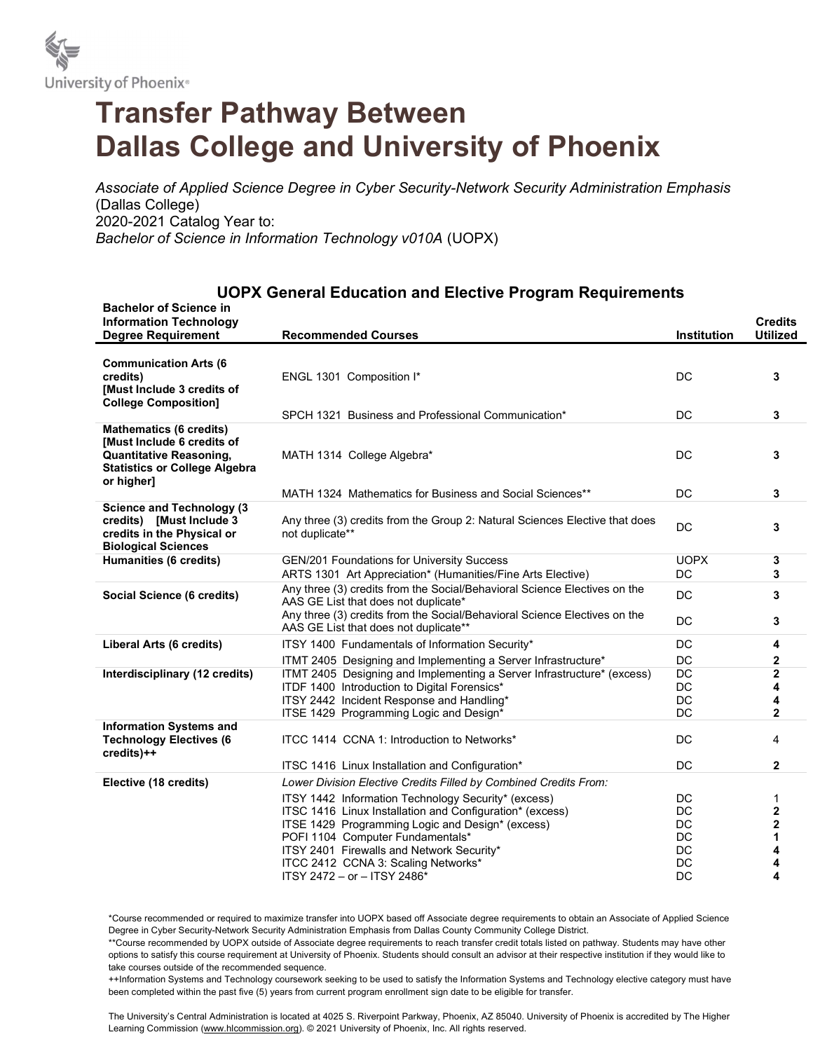

## Transfer Pathway Between Dallas College and University of Phoenix

Associate of Applied Science Degree in Cyber Security-Network Security Administration Emphasis (Dallas College) 2020-2021 Catalog Year to: Bachelor of Science in Information Technology v010A (UOPX)

## UOPX General Education and Elective Program Requirements

| <b>Bachelor of Science in</b><br><b>Information Technology</b><br><b>Degree Requirement</b>                                                                | <b>Recommended Courses</b>                                                                                                                                                                     | <b>Institution</b>       | <b>Credits</b><br><b>Utilized</b> |
|------------------------------------------------------------------------------------------------------------------------------------------------------------|------------------------------------------------------------------------------------------------------------------------------------------------------------------------------------------------|--------------------------|-----------------------------------|
| <b>Communication Arts (6</b><br>credits)<br>[Must Include 3 credits of<br><b>College Composition]</b>                                                      | ENGL 1301 Composition I*                                                                                                                                                                       | DC                       | 3                                 |
|                                                                                                                                                            | SPCH 1321 Business and Professional Communication*                                                                                                                                             | DC                       | 3                                 |
| <b>Mathematics (6 credits)</b><br><b>Must Include 6 credits of</b><br><b>Quantitative Reasoning,</b><br><b>Statistics or College Algebra</b><br>or higher] | MATH 1314 College Algebra*                                                                                                                                                                     | <b>DC</b>                | 3                                 |
|                                                                                                                                                            | MATH 1324 Mathematics for Business and Social Sciences**                                                                                                                                       | DC                       | 3                                 |
| <b>Science and Technology (3)</b><br>credits) [Must Include 3<br>credits in the Physical or<br><b>Biological Sciences</b>                                  | Any three (3) credits from the Group 2: Natural Sciences Elective that does<br>not duplicate**                                                                                                 | <b>DC</b>                | 3                                 |
| Humanities (6 credits)                                                                                                                                     | <b>GEN/201 Foundations for University Success</b><br>ARTS 1301 Art Appreciation* (Humanities/Fine Arts Elective)                                                                               | <b>UOPX</b><br><b>DC</b> | 3<br>3                            |
| Social Science (6 credits)                                                                                                                                 | Any three (3) credits from the Social/Behavioral Science Electives on the<br>AAS GE List that does not duplicate*<br>Any three (3) credits from the Social/Behavioral Science Electives on the | <b>DC</b><br>DC          | 3<br>3                            |
|                                                                                                                                                            | AAS GE List that does not duplicate**                                                                                                                                                          |                          |                                   |
| Liberal Arts (6 credits)                                                                                                                                   | ITSY 1400 Fundamentals of Information Security*                                                                                                                                                | DC                       | 4                                 |
|                                                                                                                                                            | ITMT 2405 Designing and Implementing a Server Infrastructure*                                                                                                                                  | DC                       | $\mathbf{2}$                      |
| Interdisciplinary (12 credits)                                                                                                                             | ITMT 2405 Designing and Implementing a Server Infrastructure* (excess)                                                                                                                         | <b>DC</b>                | $\overline{\mathbf{2}}$           |
|                                                                                                                                                            | ITDF 1400 Introduction to Digital Forensics*<br>ITSY 2442 Incident Response and Handling*                                                                                                      | DC<br>DC                 | 4<br>4                            |
|                                                                                                                                                            | ITSE 1429 Programming Logic and Design*                                                                                                                                                        | <b>DC</b>                | $\overline{2}$                    |
| <b>Information Systems and</b><br><b>Technology Electives (6</b><br>credits)++                                                                             | ITCC 1414 CCNA 1: Introduction to Networks*                                                                                                                                                    | DC                       | 4                                 |
|                                                                                                                                                            | ITSC 1416 Linux Installation and Configuration*                                                                                                                                                | DC                       | $\mathbf{2}$                      |
| Elective (18 credits)                                                                                                                                      | Lower Division Elective Credits Filled by Combined Credits From:                                                                                                                               |                          |                                   |
|                                                                                                                                                            | ITSY 1442 Information Technology Security* (excess)                                                                                                                                            | DC                       | 1                                 |
|                                                                                                                                                            | ITSC 1416 Linux Installation and Configuration* (excess)                                                                                                                                       | DC                       | 2                                 |
|                                                                                                                                                            | ITSE 1429 Programming Logic and Design* (excess)                                                                                                                                               | DC                       | 2                                 |
|                                                                                                                                                            | POFI 1104 Computer Fundamentals*                                                                                                                                                               | <b>DC</b>                | 1                                 |
|                                                                                                                                                            | ITSY 2401 Firewalls and Network Security*                                                                                                                                                      | DC                       | 4                                 |
|                                                                                                                                                            | ITCC 2412 CCNA 3: Scaling Networks*<br>ITSY 2472 - or - ITSY 2486*                                                                                                                             | DC<br><b>DC</b>          | 4<br>4                            |
|                                                                                                                                                            |                                                                                                                                                                                                |                          |                                   |

\*Course recommended or required to maximize transfer into UOPX based off Associate degree requirements to obtain an Associate of Applied Science Degree in Cyber Security-Network Security Administration Emphasis from Dallas County Community College District.

\*\*Course recommended by UOPX outside of Associate degree requirements to reach transfer credit totals listed on pathway. Students may have other options to satisfy this course requirement at University of Phoenix. Students should consult an advisor at their respective institution if they would like to take courses outside of the recommended sequence.

++Information Systems and Technology coursework seeking to be used to satisfy the Information Systems and Technology elective category must have been completed within the past five (5) years from current program enrollment sign date to be eligible for transfer.

The University's Central Administration is located at 4025 S. Riverpoint Parkway, Phoenix, AZ 85040. University of Phoenix is accredited by The Higher Learning Commission (www.hlcommission.org). @ 2021 University of Phoenix, Inc. All rights reserved.